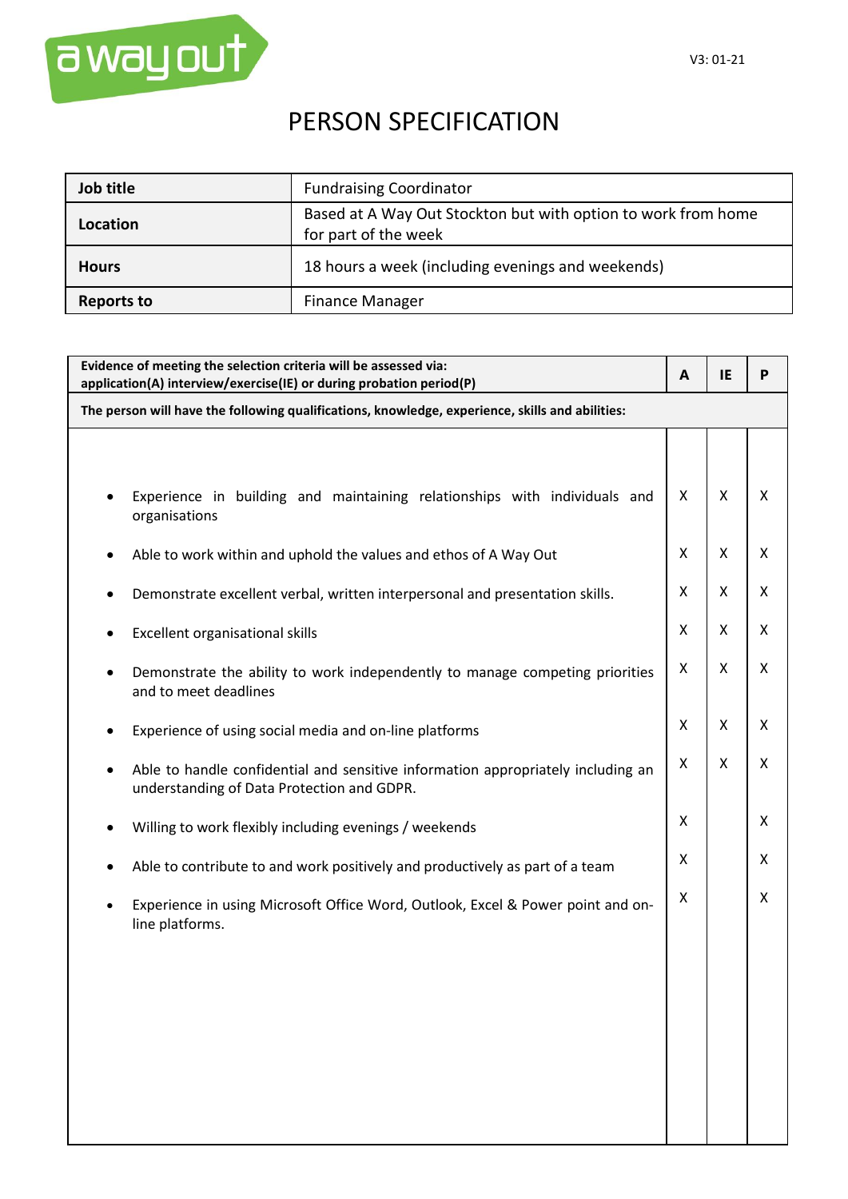

## PERSON SPECIFICATION

| Job title    | <b>Fundraising Coordinator</b>                                                        |
|--------------|---------------------------------------------------------------------------------------|
| Location     | Based at A Way Out Stockton but with option to work from home<br>for part of the week |
| <b>Hours</b> | 18 hours a week (including evenings and weekends)                                     |
| Reports to   | <b>Finance Manager</b>                                                                |

| Evidence of meeting the selection criteria will be assessed via:<br>application(A) interview/exercise(IE) or during probation period(P) |   | IE | P |  |  |
|-----------------------------------------------------------------------------------------------------------------------------------------|---|----|---|--|--|
| The person will have the following qualifications, knowledge, experience, skills and abilities:                                         |   |    |   |  |  |
|                                                                                                                                         |   |    |   |  |  |
| Experience in building and maintaining relationships with individuals and<br>organisations                                              | X | Χ  | X |  |  |
| Able to work within and uphold the values and ethos of A Way Out                                                                        |   | X  | X |  |  |
| Demonstrate excellent verbal, written interpersonal and presentation skills.                                                            |   | X  | X |  |  |
| Excellent organisational skills                                                                                                         |   | Χ  | X |  |  |
| Demonstrate the ability to work independently to manage competing priorities<br>and to meet deadlines                                   |   | Χ  | X |  |  |
| Experience of using social media and on-line platforms                                                                                  | X | X  | X |  |  |
| Able to handle confidential and sensitive information appropriately including an<br>٠<br>understanding of Data Protection and GDPR.     | Χ | X  | X |  |  |
| Willing to work flexibly including evenings / weekends                                                                                  | X |    | X |  |  |
| Able to contribute to and work positively and productively as part of a team                                                            |   |    | X |  |  |
| Experience in using Microsoft Office Word, Outlook, Excel & Power point and on-<br>$\bullet$<br>line platforms.                         | Χ |    | X |  |  |
|                                                                                                                                         |   |    |   |  |  |
|                                                                                                                                         |   |    |   |  |  |
|                                                                                                                                         |   |    |   |  |  |
|                                                                                                                                         |   |    |   |  |  |
|                                                                                                                                         |   |    |   |  |  |